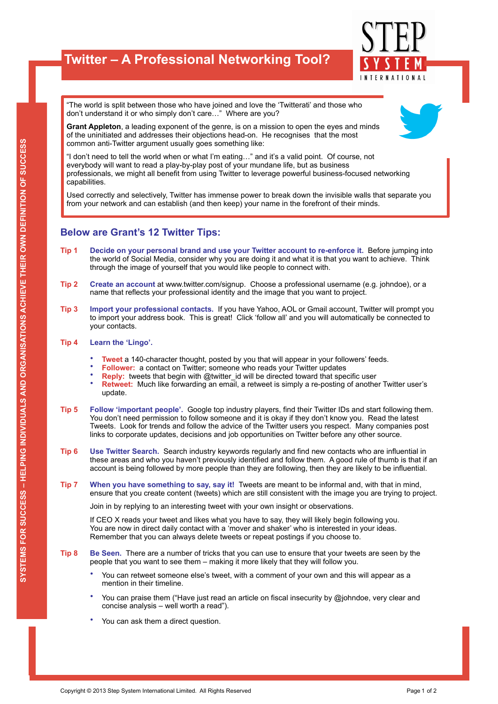## **Twitter – A Professional Networking Tool?**



"The world is split between those who have joined and love the 'Twitterati' and those who don't understand it or who simply don't care…" Where are you?



**Grant Appleton**, a leading exponent of the genre, is on a mission to open the eyes and minds of the uninitiated and addresses their objections head-on. He recognises that the most common anti-Twitter argument usually goes something like:

"I don't need to tell the world when or what I'm eating…" and it's a valid point. Of course, not everybody will want to read a play-by-play post of your mundane life, but as business professionals, we might all benefit from using Twitter to leverage powerful business-focused networking capabilities.

Used correctly and selectively, Twitter has immense power to break down the invisible walls that separate you from your network and can establish (and then keep) your name in the forefront of their minds.

## **Below are Grant's 12 Twitter Tips:**

- **Tip 1 Decide on your personal brand and use your Twitter account to re-enforce it.** Before jumping into the world of Social Media, consider why you are doing it and what it is that you want to achieve. Think through the image of yourself that you would like people to connect with.
- **Tip 2 Create an account** at www.twitter.com/signup. Choose a professional username (e.g. johndoe), or a name that reflects your professional identity and the image that you want to project.
- **Tip 3 Import your professional contacts.** If you have Yahoo, AOL or Gmail account, Twitter will prompt you to import your address book. This is great! Click 'follow all' and you will automatically be connected to your contacts.

## **Tip 4 Learn the 'Lingo'.**

- **Tweet** a 140-character thought, posted by you that will appear in your followers' feeds.
- **Follower:** a contact on Twitter; someone who reads your Twitter updates
- **Reply:** tweets that begin with @twitter\_id will be directed toward that specific user
- **Retweet:** Much like forwarding an email, a retweet is simply a re-posting of another Twitter user's update.
- **Tip 5 Follow 'important people'.** Google top industry players, find their Twitter IDs and start following them. You don't need permission to follow someone and it is okay if they don't know you. Read the latest Tweets. Look for trends and follow the advice of the Twitter users you respect. Many companies post links to corporate updates, decisions and job opportunities on Twitter before any other source.
- **Tip 6 Use Twitter Search.** Search industry keywords regularly and find new contacts who are influential in these areas and who you haven't previously identified and follow them. A good rule of thumb is that if an account is being followed by more people than they are following, then they are likely to be influential.
- **Tip 7 When you have something to say, say it!** Tweets are meant to be informal and, with that in mind, ensure that you create content (tweets) which are still consistent with the image you are trying to project.

Join in by replying to an interesting tweet with your own insight or observations.

If CEO X reads your tweet and likes what you have to say, they will likely begin following you. You are now in direct daily contact with a 'mover and shaker' who is interested in your ideas. Remember that you can always delete tweets or repeat postings if you choose to.

- **Tip 8 Be Seen.** There are a number of tricks that you can use to ensure that your tweets are seen by the people that you want to see them – making it more likely that they will follow you.
	- You can retweet someone else's tweet, with a comment of your own and this will appear as a mention in their timeline.
	- You can praise them ("Have just read an article on fiscal insecurity by @johndoe, very clear and concise analysis – well worth a read").
	- You can ask them a direct question.